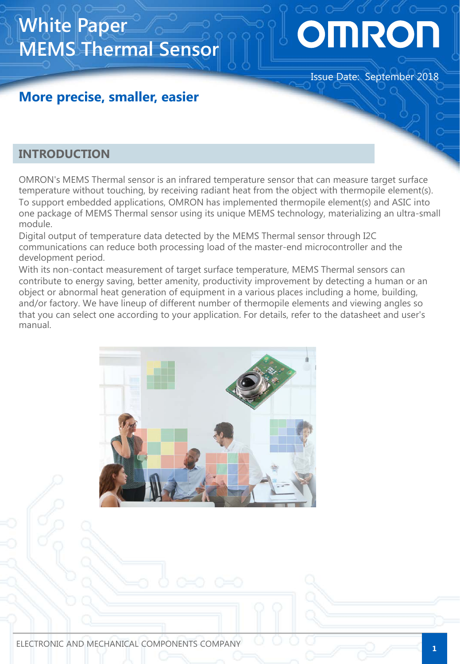# OMRON

#### Issue Date: September 2018

### **More precise, smaller, easier**

**MEMS Thermal Sensor**

#### **INTRODUCTION**

**White Paper**

OMRON's MEMS Thermal sensor is an infrared temperature sensor that can measure target surface temperature without touching, by receiving radiant heat from the object with thermopile element(s). To support embedded applications, OMRON has implemented thermopile element(s) and ASIC into one package of MEMS Thermal sensor using its unique MEMS technology, materializing an ultra-small module.

Digital output of temperature data detected by the MEMS Thermal sensor through I2C communications can reduce both processing load of the master-end microcontroller and the development period.

With its non-contact measurement of target surface temperature, MEMS Thermal sensors can contribute to energy saving, better amenity, productivity improvement by detecting a human or an object or abnormal heat generation of equipment in a various places including a home, building, and/or factory. We have lineup of different number of thermopile elements and viewing angles so that you can select one according to your application. For details, refer to the datasheet and user's manual.

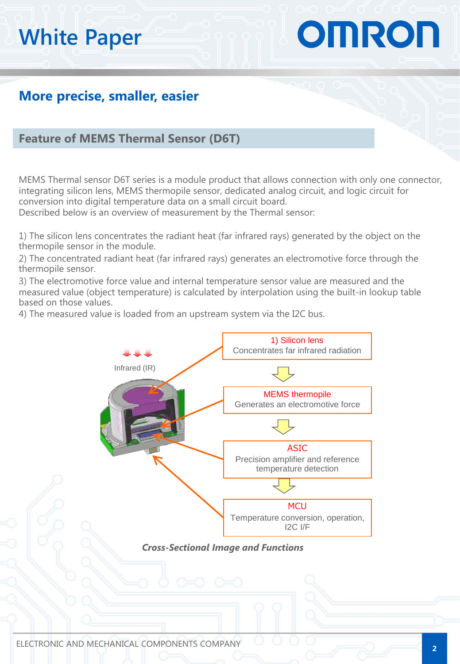# OMRON

### **More precise, smaller, easier**

#### **Feature of MEMS Thermal Sensor (D6T)**

MEMS Thermal sensor D6T series is a module product that allows connection with only one connector, integrating silicon lens, MEMS thermopile sensor, dedicated analog circuit, and logic circuit for conversion into digital temperature data on a small circuit board.

Described below is an overview of measurement by the Thermal sensor:

1) The silicon lens concentrates the radiant heat (far infrared rays) generated by the object on the thermopile sensor in the module.

2) The concentrated radiant heat (far infrared rays) generates an electromotive force through the thermopile sensor.

3) The electromotive force value and internal temperature sensor value are measured and the measured value (object temperature) is calculated by interpolation using the built-in lookup table based on those values.

4) The measured value is loaded from an upstream system via the I2C bus.



*Cross-Sectional Image and Functions*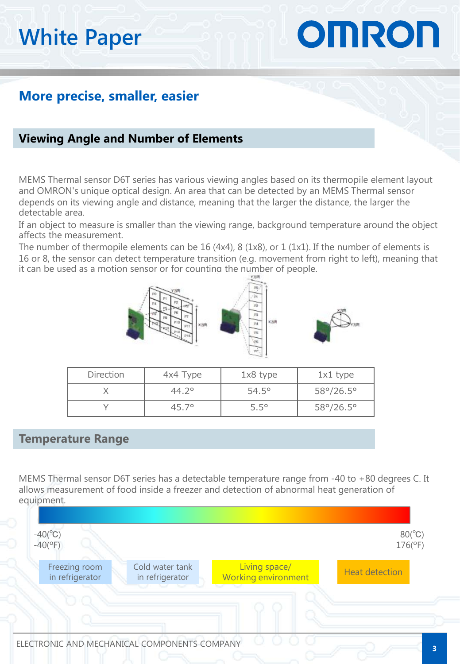# OMRON

### **More precise, smaller, easier**

#### **Viewing Angle and Number of Elements**

MEMS Thermal sensor D6T series has various viewing angles based on its thermopile element layout and OMRON's unique optical design. An area that can be detected by an MEMS Thermal sensor depends on its viewing angle and distance, meaning that the larger the distance, the larger the detectable area.

If an object to measure is smaller than the viewing range, background temperature around the object affects the measurement.

The number of thermopile elements can be 16 (4x4), 8 (1x8), or 1 (1x1). If the number of elements is 16 or 8, the sensor can detect temperature transition (e.g. movement from right to left), meaning that it can be used as a motion sensor or for counting the number of people.



| <b>Direction</b> | 4x4 Type       | $1x8$ type     | $1x1$ type                |
|------------------|----------------|----------------|---------------------------|
|                  | $44.2^{\circ}$ | $54.5^{\circ}$ | $58^{\circ}/26.5^{\circ}$ |
|                  | $45.7^{\circ}$ | $5.5^\circ$    | $58^{\circ}/26.5^{\circ}$ |

#### **Temperature Range**

MEMS Thermal sensor D6T series has a detectable temperature range from -40 to +80 degrees C. It allows measurement of food inside a freezer and detection of abnormal heat generation of equipment.

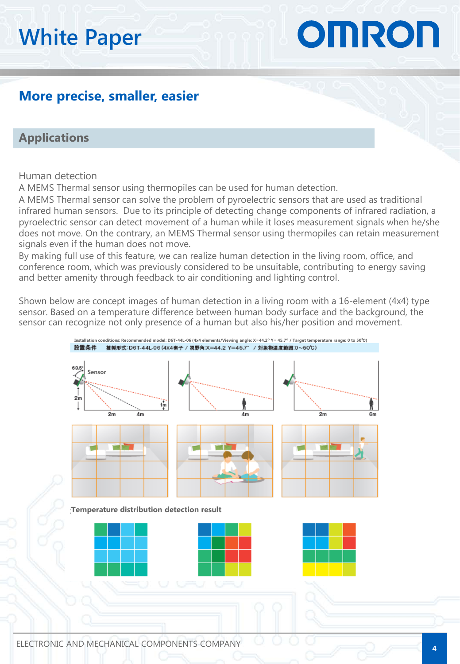# OMRON

### **More precise, smaller, easier**

#### **Applications**

#### Human detection

A MEMS Thermal sensor using thermopiles can be used for human detection.

A MEMS Thermal sensor can solve the problem of pyroelectric sensors that are used as traditional infrared human sensors. Due to its principle of detecting change components of infrared radiation, a pyroelectric sensor can detect movement of a human while it loses measurement signals when he/she does not move. On the contrary, an MEMS Thermal sensor using thermopiles can retain measurement signals even if the human does not move.

By making full use of this feature, we can realize human detection in the living room, office, and conference room, which was previously considered to be unsuitable, contributing to energy saving and better amenity through feedback to air conditioning and lighting control.

Shown below are concept images of human detection in a living room with a 16-element (4x4) type sensor. Based on a temperature difference between human body surface and the background, the sensor can recognize not only presence of a human but also his/her position and movement.

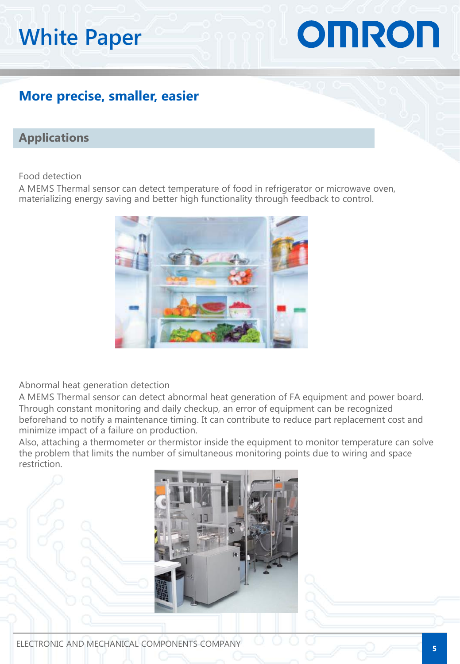# OMRON

### **More precise, smaller, easier**

#### **Applications**

Food detection

A MEMS Thermal sensor can detect temperature of food in refrigerator or microwave oven, materializing energy saving and better high functionality through feedback to control.



Abnormal heat generation detection

A MEMS Thermal sensor can detect abnormal heat generation of FA equipment and power board. Through constant monitoring and daily checkup, an error of equipment can be recognized beforehand to notify a maintenance timing. It can contribute to reduce part replacement cost and minimize impact of a failure on production.

Also, attaching a thermometer or thermistor inside the equipment to monitor temperature can solve the problem that limits the number of simultaneous monitoring points due to wiring and space restriction.

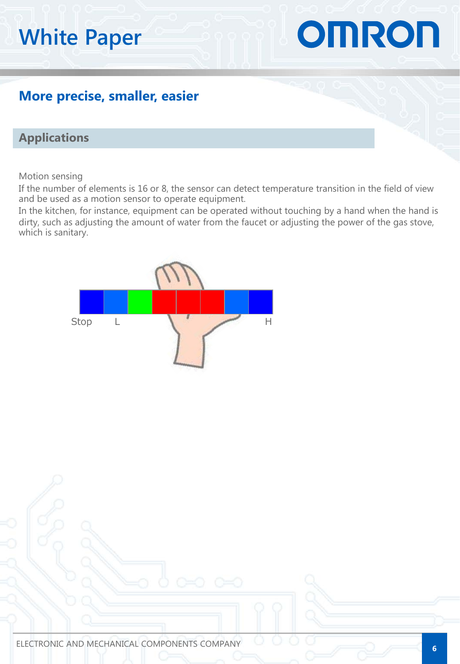# OMRON

### **More precise, smaller, easier**

#### **Applications**

Motion sensing

If the number of elements is 16 or 8, the sensor can detect temperature transition in the field of view and be used as a motion sensor to operate equipment.

In the kitchen, for instance, equipment can be operated without touching by a hand when the hand is dirty, such as adjusting the amount of water from the faucet or adjusting the power of the gas stove, which is sanitary.